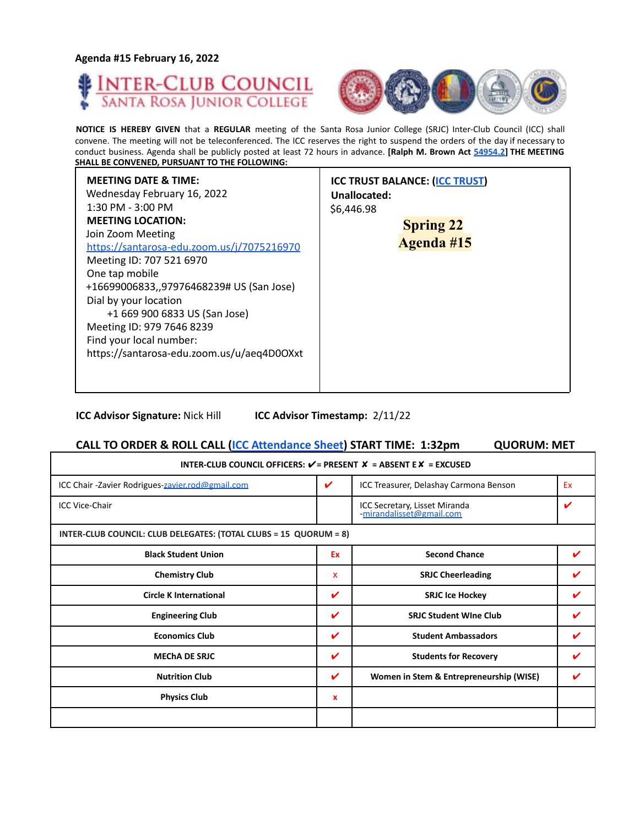**Agenda #15 February 16, 2022**

Г





**NOTICE IS HEREBY GIVEN** that a **REGULAR** meeting of the Santa Rosa Junior College (SRJC) Inter-Club Council (ICC) shall convene. The meeting will not be teleconferenced. The ICC reserves the right to suspend the orders of the day if necessary to conduct business. Agenda shall be publicly posted at least 72 hours in advance. **[Ralph M. Brown Act 54954.2] THE MEETING SHALL BE CONVENED, PURSUANT TO THE FOLLOWING:**

| <b>MEETING DATE &amp; TIME:</b><br>Wednesday February 16, 2022<br>Unallocated:<br>$1:30$ PM - $3:00$ PM<br>\$6,446.98<br><b>MEETING LOCATION:</b><br>Join Zoom Meeting<br>https://santarosa-edu.zoom.us/j/7075216970<br>Meeting ID: 707 521 6970<br>One tap mobile<br>+16699006833,,97976468239# US (San Jose)<br>Dial by your location<br>+1 669 900 6833 US (San Jose)<br>Meeting ID: 979 7646 8239<br>Find your local number:<br>https://santarosa-edu.zoom.us/u/aeq4D0OXxt | <b>ICC TRUST BALANCE: (ICC TRUST)</b><br><b>Spring 22</b><br><b>Agenda #15</b> |
|--------------------------------------------------------------------------------------------------------------------------------------------------------------------------------------------------------------------------------------------------------------------------------------------------------------------------------------------------------------------------------------------------------------------------------------------------------------------------------|--------------------------------------------------------------------------------|
|--------------------------------------------------------------------------------------------------------------------------------------------------------------------------------------------------------------------------------------------------------------------------------------------------------------------------------------------------------------------------------------------------------------------------------------------------------------------------------|--------------------------------------------------------------------------------|

**ICC Advisor Signature:** Nick Hill **ICC Advisor Timestamp:** 2/11/22

# **CALL TO ORDER & ROLL CALL (ICC Attendance Sheet) START TIME: 1:32pm QUORUM: MET**

| INTER-CLUB COUNCIL OFFICERS: $V = P$ RESENT $X = AB$ SENT E $X = EXCUSED$ |    |                                                           |    |  |
|---------------------------------------------------------------------------|----|-----------------------------------------------------------|----|--|
| ICC Chair-Zavier Rodrigues-zavier.rod@gmail.com                           | V  | ICC Treasurer, Delashay Carmona Benson                    | Ex |  |
| <b>ICC Vice-Chair</b>                                                     |    | ICC Secretary, Lisset Miranda<br>-mirandalisset@gmail.com |    |  |
| INTER-CLUB COUNCIL: CLUB DELEGATES: (TOTAL CLUBS = 15 QUORUM = 8)         |    |                                                           |    |  |
| <b>Black Student Union</b>                                                | Ex | <b>Second Chance</b>                                      | ✔  |  |
| <b>Chemistry Club</b>                                                     | x  | <b>SRJC Cheerleading</b>                                  |    |  |
| <b>Circle K International</b>                                             | V  | <b>SRJC Ice Hockey</b>                                    | V  |  |
| <b>Engineering Club</b>                                                   | V  | <b>SRJC Student Wine Club</b>                             |    |  |
| <b>Economics Club</b>                                                     | ✓  | <b>Student Ambassadors</b>                                |    |  |
| <b>MECHA DE SRJC</b>                                                      | ✓  | <b>Students for Recovery</b>                              | v  |  |
| <b>Nutrition Club</b>                                                     | ✓  | Women in Stem & Entrepreneurship (WISE)                   |    |  |
| <b>Physics Club</b>                                                       | x  |                                                           |    |  |
|                                                                           |    |                                                           |    |  |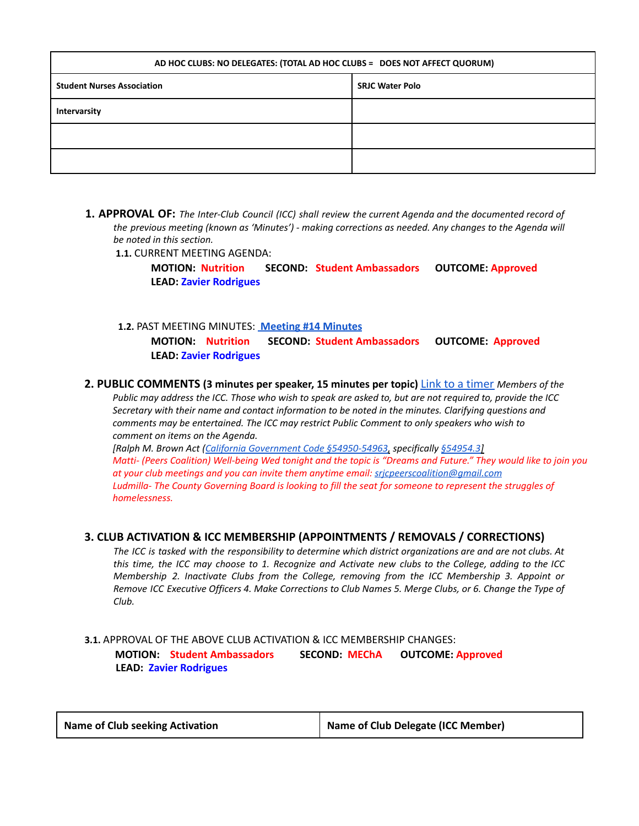| AD HOC CLUBS: NO DELEGATES: (TOTAL AD HOC CLUBS = DOES NOT AFFECT QUORUM) |                        |  |
|---------------------------------------------------------------------------|------------------------|--|
| <b>Student Nurses Association</b>                                         | <b>SRJC Water Polo</b> |  |
| Intervarsity                                                              |                        |  |
|                                                                           |                        |  |
|                                                                           |                        |  |

**1. APPROVAL OF:** *The Inter-Club Council (ICC) shall review the current Agenda and the documented record of the previous meeting (known as 'Minutes') - making corrections as needed. Any changes to the Agenda will be noted in this section.*

**1.1.** CURRENT MEETING AGENDA:

**MOTION: Nutrition SECOND: Student Ambassadors OUTCOME: Approved LEAD: Zavier Rodrigues**

**1.2.** PAST MEETING MINUTES: **[Meeting](https://docs.google.com/document/d/1Uz0_mcFOs0h-D12eoLV1prmheDl3OQYr0T-t07iKuNE/edit?usp=sharing) #14 Minutes**

**MOTION: Nutrition SECOND: Student Ambassadors OUTCOME: Approved LEAD: Zavier Rodrigues**

**2. PUBLIC COMMENTS (3 minutes per speaker, 15 minutes per topic)** Link to a timer *Members of the* Public may address the ICC. Those who wish to speak are asked to, but are not required to, provide the ICC *Secretary with their name and contact information to be noted in the minutes. Clarifying questions and comments may be entertained. The ICC may restrict Public Comment to only speakers who wish to comment on items on the Agenda.*

*[Ralph M. Brown Act (California Government Code §54950-54963, specifically §54954.3]* Matti- (Peers Coalition) Well-being Wed tonight and the topic is "Dreams and Future." They would like to join you *at your club meetings and you can invite them anytime email: [srjcpeerscoalition@gmail.com](mailto:srjcpeerscoalition@gmail.com)* Ludmilla-The County Governing Board is looking to fill the seat for someone to represent the struggles of *homelessness.*

### **3. CLUB ACTIVATION & ICC MEMBERSHIP (APPOINTMENTS / REMOVALS / CORRECTIONS)**

The ICC is tasked with the responsibility to determine which district organizations are and are not clubs. At this time, the ICC may choose to 1. Recognize and Activate new clubs to the College, adding to the ICC *Membership 2. Inactivate Clubs from the College, removing from the ICC Membership 3. Appoint or* Remove ICC Executive Officers 4. Make Corrections to Club Names 5. Merge Clubs, or 6. Change the Type of *Club.*

**3.1.** APPROVAL OF THE ABOVE CLUB ACTIVATION & ICC MEMBERSHIP CHANGES: **MOTION: Student Ambassadors SECOND: MEChA OUTCOME: Approved LEAD: Zavier Rodrigues**

| <b>Name of Club Delegate (ICC Member)</b> |
|-------------------------------------------|
|                                           |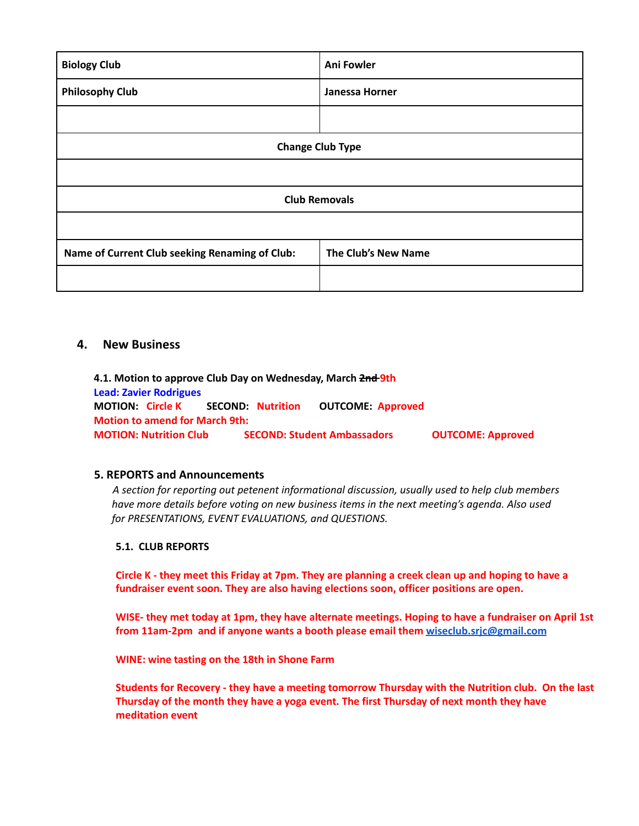| <b>Biology Club</b>                            | Ani Fowler          |  |
|------------------------------------------------|---------------------|--|
| <b>Philosophy Club</b>                         | Janessa Horner      |  |
|                                                |                     |  |
| <b>Change Club Type</b>                        |                     |  |
|                                                |                     |  |
| <b>Club Removals</b>                           |                     |  |
|                                                |                     |  |
| Name of Current Club seeking Renaming of Club: | The Club's New Name |  |
|                                                |                     |  |

## **4. New Business**

**4.1. Motion to approve Club Day on Wednesday, March 2nd 9th Lead: Zavier Rodrigues MOTION: Circle K SECOND: Nutrition OUTCOME: Approved Motion to amend for March 9th: MOTION: Nutrition Club SECOND: Student Ambassadors OUTCOME: Approved**

### **5. REPORTS and Announcements**

*A section for reporting out petenent informational discussion, usually used to help club members have more details before voting on new business items in the next meeting's agenda. Also used for PRESENTATIONS, EVENT EVALUATIONS, and QUESTIONS.*

### **5.1. CLUB REPORTS**

Circle K - they meet this Friday at 7pm. They are planning a creek clean up and hoping to have a **fundraiser event soon. They are also having elections soon, officer positions are open.**

WISE- they met today at 1pm, they have alternate meetings. Hoping to have a fundraiser on April 1st **from 11am-2pm and if anyone wants a booth please email them [wiseclub.srjc@gmail.com](mailto:wiseclub.srjc@gmail.com)**

**WINE: wine tasting on the 18th in Shone Farm**

**Students for Recovery - they have a meeting tomorrow Thursday with the Nutrition club. On the last Thursday of the month they have a yoga event. The first Thursday of next month they have meditation event**